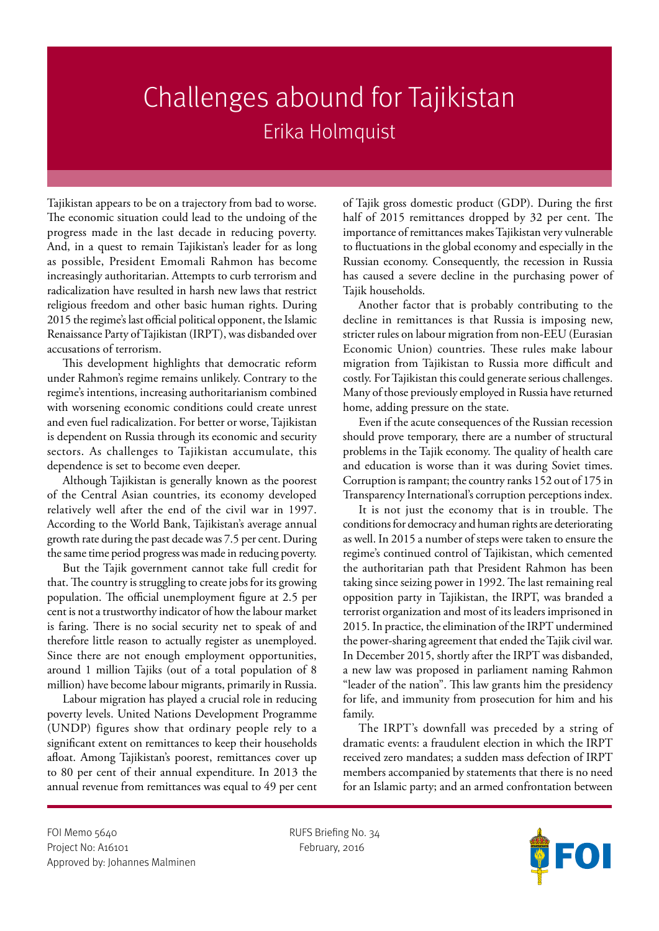## Challenges abound for Tajikistan Erika Holmquist

Tajikistan appears to be on a trajectory from bad to worse. The economic situation could lead to the undoing of the progress made in the last decade in reducing poverty. And, in a quest to remain Tajikistan's leader for as long as possible, President Emomali Rahmon has become increasingly authoritarian. Attempts to curb terrorism and radicalization have resulted in harsh new laws that restrict religious freedom and other basic human rights. During 2015 the regime's last official political opponent, the Islamic Renaissance Party of Tajikistan (IRPT), was disbanded over accusations of terrorism.

This development highlights that democratic reform under Rahmon's regime remains unlikely. Contrary to the regime's intentions, increasing authoritarianism combined with worsening economic conditions could create unrest and even fuel radicalization. For better or worse, Tajikistan is dependent on Russia through its economic and security sectors. As challenges to Tajikistan accumulate, this dependence is set to become even deeper.

Although Tajikistan is generally known as the poorest of the Central Asian countries, its economy developed relatively well after the end of the civil war in 1997. According to the World Bank, Tajikistan's average annual growth rate during the past decade was 7.5 per cent. During the same time period progress was made in reducing poverty.

But the Tajik government cannot take full credit for that. The country is struggling to create jobs for its growing population. The official unemployment figure at 2.5 per cent is not a trustworthy indicator of how the labour market is faring. There is no social security net to speak of and therefore little reason to actually register as unemployed. Since there are not enough employment opportunities, around 1 million Tajiks (out of a total population of 8 million) have become labour migrants, primarily in Russia.

Labour migration has played a crucial role in reducing poverty levels. United Nations Development Programme (UNDP) figures show that ordinary people rely to a significant extent on remittances to keep their households afloat. Among Tajikistan's poorest, remittances cover up to 80 per cent of their annual expenditure. In 2013 the annual revenue from remittances was equal to 49 per cent of Tajik gross domestic product (GDP). During the first half of 2015 remittances dropped by 32 per cent. The importance of remittances makes Tajikistan very vulnerable to fluctuations in the global economy and especially in the Russian economy. Consequently, the recession in Russia has caused a severe decline in the purchasing power of Tajik households.

Another factor that is probably contributing to the decline in remittances is that Russia is imposing new, stricter rules on labour migration from non-EEU (Eurasian Economic Union) countries. These rules make labour migration from Tajikistan to Russia more difficult and costly. For Tajikistan this could generate serious challenges. Many of those previously employed in Russia have returned home, adding pressure on the state.

Even if the acute consequences of the Russian recession should prove temporary, there are a number of structural problems in the Tajik economy. The quality of health care and education is worse than it was during Soviet times. Corruption is rampant; the country ranks 152 out of 175 in Transparency International's corruption perceptions index.

It is not just the economy that is in trouble. The conditions for democracy and human rights are deteriorating as well. In 2015 a number of steps were taken to ensure the regime's continued control of Tajikistan, which cemented the authoritarian path that President Rahmon has been taking since seizing power in 1992. The last remaining real opposition party in Tajikistan, the IRPT, was branded a terrorist organization and most of its leaders imprisoned in 2015. In practice, the elimination of the IRPT undermined the power-sharing agreement that ended the Tajik civil war. In December 2015, shortly after the IRPT was disbanded, a new law was proposed in parliament naming Rahmon "leader of the nation". This law grants him the presidency for life, and immunity from prosecution for him and his family.

The IRPT's downfall was preceded by a string of dramatic events: a fraudulent election in which the IRPT received zero mandates; a sudden mass defection of IRPT members accompanied by statements that there is no need for an Islamic party; and an armed confrontation between

FOI Memo 5640 RUFS Briefing No. 34 Project No: A16101 February, 2016 Approved by: Johannes Malminen

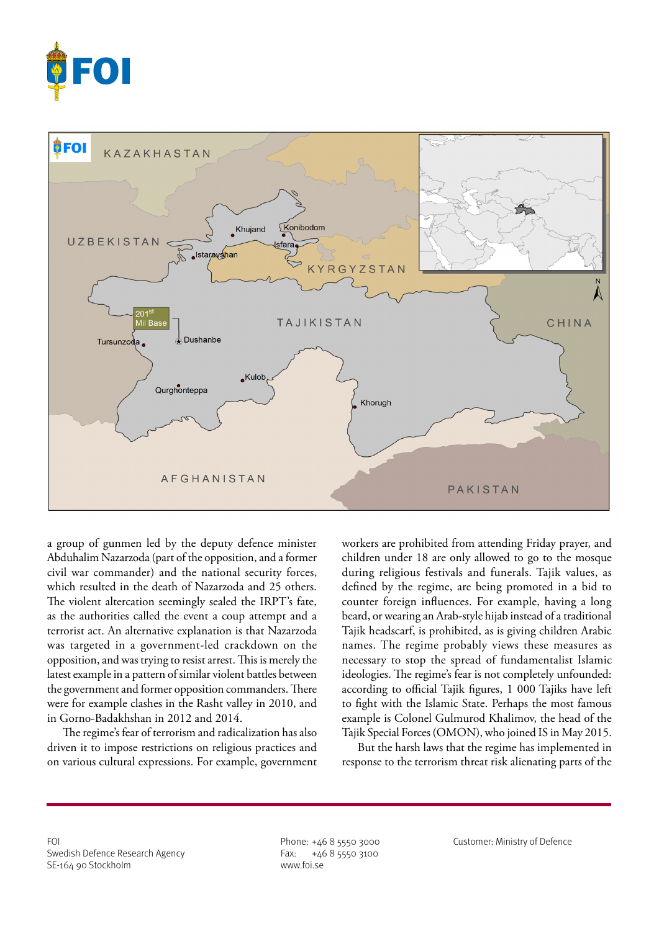



a group of gunmen led by the deputy defence minister Abduhalim Nazarzoda (part of the opposition, and a former civil war commander) and the national security forces, which resulted in the death of Nazarzoda and 25 others. The violent altercation seemingly sealed the IRPT's fate, as the authorities called the event a coup attempt and a terrorist act. An alternative explanation is that Nazarzoda was targeted in a government-led crackdown on the opposition, and was trying to resist arrest. This is merely the latest example in a pattern of similar violent battles between the government and former opposition commanders. There were for example clashes in the Rasht valley in 2010, and in Gorno-Badakhshan in 2012 and 2014.

The regime's fear of terrorism and radicalization has also driven it to impose restrictions on religious practices and on various cultural expressions. For example, government workers are prohibited from attending Friday prayer, and children under 18 are only allowed to go to the mosque during religious festivals and funerals. Tajik values, as defined by the regime, are being promoted in a bid to counter foreign influences. For example, having a long beard, or wearing an Arab-style hijab instead of a traditional Tajik headscarf, is prohibited, as is giving children Arabic names. The regime probably views these measures as necessary to stop the spread of fundamentalist Islamic ideologies. The regime's fear is not completely unfounded: according to official Tajik figures, 1 000 Tajiks have left to fight with the Islamic State. Perhaps the most famous example is Colonel Gulmurod Khalimov, the head of the Tajik Special Forces (OMON), who joined IS in May 2015.

But the harsh laws that the regime has implemented in response to the terrorism threat risk alienating parts of the